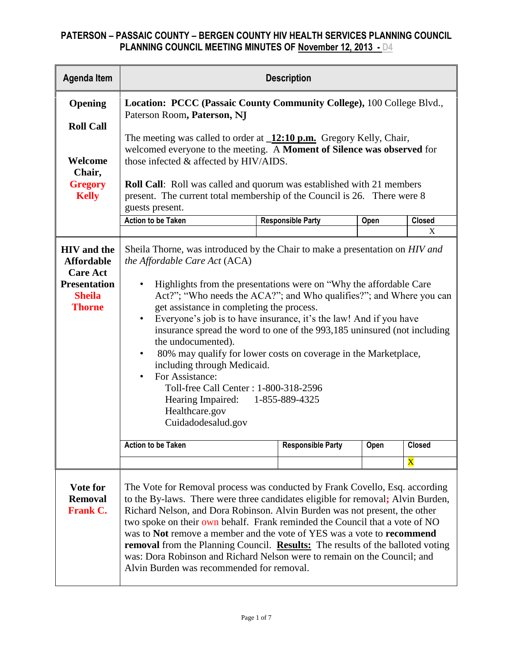| <b>Agenda Item</b>                                                                                                  | <b>Description</b>                                                                                                                                                                                                                                                                                                                                                                                                                                                                                                                                                                                                                                                                                                                                                             |                          |      |               |  |
|---------------------------------------------------------------------------------------------------------------------|--------------------------------------------------------------------------------------------------------------------------------------------------------------------------------------------------------------------------------------------------------------------------------------------------------------------------------------------------------------------------------------------------------------------------------------------------------------------------------------------------------------------------------------------------------------------------------------------------------------------------------------------------------------------------------------------------------------------------------------------------------------------------------|--------------------------|------|---------------|--|
| Opening<br><b>Roll Call</b>                                                                                         | Location: PCCC (Passaic County Community College), 100 College Blvd.,<br>Paterson Room, Paterson, NJ                                                                                                                                                                                                                                                                                                                                                                                                                                                                                                                                                                                                                                                                           |                          |      |               |  |
| Welcome<br>Chair,<br><b>Gregory</b><br><b>Kelly</b>                                                                 | The meeting was called to order at $\sqrt{12:10 \text{ p.m.}}$ Gregory Kelly, Chair,<br>welcomed everyone to the meeting. A Moment of Silence was observed for<br>those infected & affected by HIV/AIDS.<br><b>Roll Call:</b> Roll was called and quorum was established with 21 members<br>present. The current total membership of the Council is 26. There were 8<br>guests present.                                                                                                                                                                                                                                                                                                                                                                                        |                          |      |               |  |
|                                                                                                                     | <b>Action to be Taken</b>                                                                                                                                                                                                                                                                                                                                                                                                                                                                                                                                                                                                                                                                                                                                                      | <b>Responsible Party</b> | Open | <b>Closed</b> |  |
| <b>HIV</b> and the<br><b>Affordable</b><br><b>Care Act</b><br><b>Presentation</b><br><b>Sheila</b><br><b>Thorne</b> | X<br>Sheila Thorne, was introduced by the Chair to make a presentation on <i>HIV and</i><br>the Affordable Care Act (ACA)<br>Highlights from the presentations were on "Why the affordable Care"<br>Act?"; "Who needs the ACA?"; and Who qualifies?"; and Where you can<br>get assistance in completing the process.<br>Everyone's job is to have insurance, it's the law! And if you have<br>$\bullet$<br>insurance spread the word to one of the 993,185 uninsured (not including<br>the undocumented).<br>80% may qualify for lower costs on coverage in the Marketplace,<br>$\bullet$<br>including through Medicaid.<br>For Assistance:<br>$\bullet$<br>Toll-free Call Center : 1-800-318-2596<br>Hearing Impaired: 1-855-889-4325<br>Healthcare.gov<br>Cuidadodesalud.gov |                          |      |               |  |
|                                                                                                                     | <b>Action to be Taken</b>                                                                                                                                                                                                                                                                                                                                                                                                                                                                                                                                                                                                                                                                                                                                                      | <b>Responsible Party</b> | Open | <b>Closed</b> |  |
|                                                                                                                     |                                                                                                                                                                                                                                                                                                                                                                                                                                                                                                                                                                                                                                                                                                                                                                                |                          |      | $\mathbf X$   |  |
| Vote for<br><b>Removal</b><br><b>Frank C.</b>                                                                       | The Vote for Removal process was conducted by Frank Covello, Esq. according<br>to the By-laws. There were three candidates eligible for removal; Alvin Burden,<br>Richard Nelson, and Dora Robinson. Alvin Burden was not present, the other<br>two spoke on their own behalf. Frank reminded the Council that a vote of NO<br>was to Not remove a member and the vote of YES was a vote to recommend<br>removal from the Planning Council. Results: The results of the balloted voting<br>was: Dora Robinson and Richard Nelson were to remain on the Council; and<br>Alvin Burden was recommended for removal.                                                                                                                                                               |                          |      |               |  |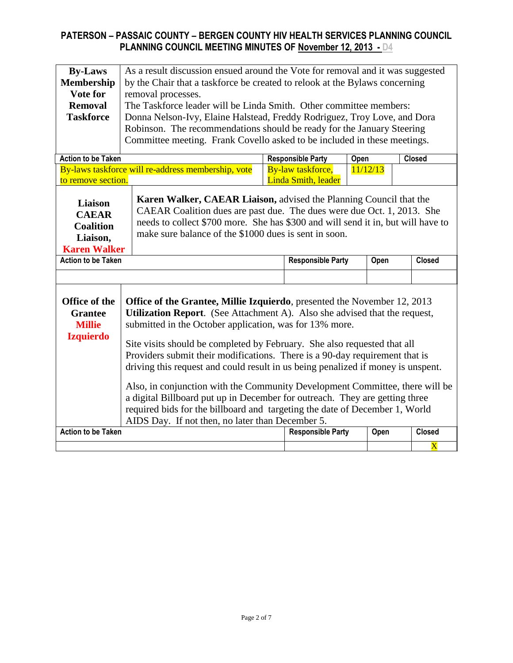| <b>By-Laws</b><br><b>Membership</b><br>Vote for<br><b>Removal</b><br><b>Taskforce</b>                                                                                                                                                                                                                                                                                                                                                                                                                                                                                                                                                                                                                                                                                                                                                             | As a result discussion ensued around the Vote for removal and it was suggested<br>by the Chair that a taskforce be created to relook at the Bylaws concerning<br>removal processes.<br>The Taskforce leader will be Linda Smith. Other committee members:<br>Donna Nelson-Ivy, Elaine Halstead, Freddy Rodriguez, Troy Love, and Dora<br>Robinson. The recommendations should be ready for the January Steering<br>Committee meeting. Frank Covello asked to be included in these meetings. |                                                    |  |                                                  |      |          |               |
|---------------------------------------------------------------------------------------------------------------------------------------------------------------------------------------------------------------------------------------------------------------------------------------------------------------------------------------------------------------------------------------------------------------------------------------------------------------------------------------------------------------------------------------------------------------------------------------------------------------------------------------------------------------------------------------------------------------------------------------------------------------------------------------------------------------------------------------------------|---------------------------------------------------------------------------------------------------------------------------------------------------------------------------------------------------------------------------------------------------------------------------------------------------------------------------------------------------------------------------------------------------------------------------------------------------------------------------------------------|----------------------------------------------------|--|--------------------------------------------------|------|----------|---------------|
| <b>Action to be Taken</b>                                                                                                                                                                                                                                                                                                                                                                                                                                                                                                                                                                                                                                                                                                                                                                                                                         |                                                                                                                                                                                                                                                                                                                                                                                                                                                                                             |                                                    |  | <b>Responsible Party</b>                         | Open |          | Closed        |
| to remove section.                                                                                                                                                                                                                                                                                                                                                                                                                                                                                                                                                                                                                                                                                                                                                                                                                                |                                                                                                                                                                                                                                                                                                                                                                                                                                                                                             | By-laws taskforce will re-address membership, vote |  | By-law taskforce,<br><b>Linda Smith</b> , leader |      | 11/12/13 |               |
| Liaison<br><b>CAEAR</b><br><b>Coalition</b><br>Liaison,<br><b>Karen Walker</b>                                                                                                                                                                                                                                                                                                                                                                                                                                                                                                                                                                                                                                                                                                                                                                    | Karen Walker, CAEAR Liaison, advised the Planning Council that the<br>CAEAR Coalition dues are past due. The dues were due Oct. 1, 2013. She<br>needs to collect \$700 more. She has \$300 and will send it in, but will have to<br>make sure balance of the \$1000 dues is sent in soon.                                                                                                                                                                                                   |                                                    |  |                                                  |      |          |               |
| <b>Action to be Taken</b>                                                                                                                                                                                                                                                                                                                                                                                                                                                                                                                                                                                                                                                                                                                                                                                                                         |                                                                                                                                                                                                                                                                                                                                                                                                                                                                                             |                                                    |  | <b>Responsible Party</b>                         |      | Open     | <b>Closed</b> |
|                                                                                                                                                                                                                                                                                                                                                                                                                                                                                                                                                                                                                                                                                                                                                                                                                                                   |                                                                                                                                                                                                                                                                                                                                                                                                                                                                                             |                                                    |  |                                                  |      |          |               |
| Office of the<br>Office of the Grantee, Millie Izquierdo, presented the November 12, 2013<br><b>Utilization Report.</b> (See Attachment A). Also she advised that the request,<br><b>Grantee</b><br>submitted in the October application, was for 13% more.<br><b>Millie</b><br><b>Izquierdo</b><br>Site visits should be completed by February. She also requested that all<br>Providers submit their modifications. There is a 90-day requirement that is<br>driving this request and could result in us being penalized if money is unspent.<br>Also, in conjunction with the Community Development Committee, there will be<br>a digital Billboard put up in December for outreach. They are getting three<br>required bids for the billboard and targeting the date of December 1, World<br>AIDS Day. If not then, no later than December 5. |                                                                                                                                                                                                                                                                                                                                                                                                                                                                                             |                                                    |  |                                                  |      |          |               |
| <b>Action to be Taken</b>                                                                                                                                                                                                                                                                                                                                                                                                                                                                                                                                                                                                                                                                                                                                                                                                                         | <b>Responsible Party</b><br><b>Closed</b><br>Open<br>$\overline{\mathbf{X}}$                                                                                                                                                                                                                                                                                                                                                                                                                |                                                    |  |                                                  |      |          |               |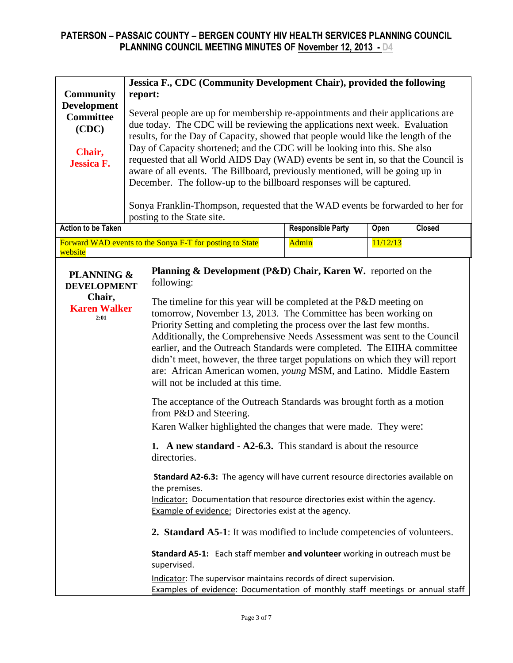| <b>Community</b><br><b>Development</b><br><b>Committee</b><br>(CDC)<br>Chair,<br><b>Jessica F.</b> | Jessica F., CDC (Community Development Chair), provided the following<br>report:<br>Several people are up for membership re-appointments and their applications are<br>due today. The CDC will be reviewing the applications next week. Evaluation<br>results, for the Day of Capacity, showed that people would like the length of the<br>Day of Capacity shortened; and the CDC will be looking into this. She also<br>requested that all World AIDS Day (WAD) events be sent in, so that the Council is<br>aware of all events. The Billboard, previously mentioned, will be going up in<br>December. The follow-up to the billboard responses will be captured.<br>Sonya Franklin-Thompson, requested that the WAD events be forwarded to her for |                                                                                                                                                                                                                                                                                                                                                                                                                                                                                                                                                                                                                                                                                                                                                                                                                                                                                                                                                                                                                                                                                                                                                                                                                                                                                                                                                                                                                                                                                                                   |                          |          |               |
|----------------------------------------------------------------------------------------------------|-------------------------------------------------------------------------------------------------------------------------------------------------------------------------------------------------------------------------------------------------------------------------------------------------------------------------------------------------------------------------------------------------------------------------------------------------------------------------------------------------------------------------------------------------------------------------------------------------------------------------------------------------------------------------------------------------------------------------------------------------------|-------------------------------------------------------------------------------------------------------------------------------------------------------------------------------------------------------------------------------------------------------------------------------------------------------------------------------------------------------------------------------------------------------------------------------------------------------------------------------------------------------------------------------------------------------------------------------------------------------------------------------------------------------------------------------------------------------------------------------------------------------------------------------------------------------------------------------------------------------------------------------------------------------------------------------------------------------------------------------------------------------------------------------------------------------------------------------------------------------------------------------------------------------------------------------------------------------------------------------------------------------------------------------------------------------------------------------------------------------------------------------------------------------------------------------------------------------------------------------------------------------------------|--------------------------|----------|---------------|
|                                                                                                    |                                                                                                                                                                                                                                                                                                                                                                                                                                                                                                                                                                                                                                                                                                                                                       | posting to the State site.                                                                                                                                                                                                                                                                                                                                                                                                                                                                                                                                                                                                                                                                                                                                                                                                                                                                                                                                                                                                                                                                                                                                                                                                                                                                                                                                                                                                                                                                                        |                          |          |               |
| <b>Action to be Taken</b>                                                                          |                                                                                                                                                                                                                                                                                                                                                                                                                                                                                                                                                                                                                                                                                                                                                       |                                                                                                                                                                                                                                                                                                                                                                                                                                                                                                                                                                                                                                                                                                                                                                                                                                                                                                                                                                                                                                                                                                                                                                                                                                                                                                                                                                                                                                                                                                                   | <b>Responsible Party</b> | Open     | <b>Closed</b> |
| website                                                                                            |                                                                                                                                                                                                                                                                                                                                                                                                                                                                                                                                                                                                                                                                                                                                                       | Forward WAD events to the Sonya F-T for posting to State                                                                                                                                                                                                                                                                                                                                                                                                                                                                                                                                                                                                                                                                                                                                                                                                                                                                                                                                                                                                                                                                                                                                                                                                                                                                                                                                                                                                                                                          | <b>Admin</b>             | 11/12/13 |               |
| <b>PLANNING &amp;</b><br><b>DEVELOPMENT</b><br>Chair,<br><b>Karen Walker</b><br>2:01               |                                                                                                                                                                                                                                                                                                                                                                                                                                                                                                                                                                                                                                                                                                                                                       | <b>Planning &amp; Development (P&amp;D) Chair, Karen W.</b> reported on the<br>following:<br>The timeline for this year will be completed at the P&D meeting on<br>tomorrow, November 13, 2013. The Committee has been working on<br>Priority Setting and completing the process over the last few months.<br>Additionally, the Comprehensive Needs Assessment was sent to the Council<br>earlier, and the Outreach Standards were completed. The EIIHA committee<br>didn't meet, however, the three target populations on which they will report<br>are: African American women, young MSM, and Latino. Middle Eastern<br>will not be included at this time.<br>The acceptance of the Outreach Standards was brought forth as a motion<br>from P&D and Steering.<br>Karen Walker highlighted the changes that were made. They were:<br>1. A new standard - A2-6.3. This standard is about the resource<br>directories.<br>Standard A2-6.3: The agency will have current resource directories available on<br>the premises.<br>Indicator: Documentation that resource directories exist within the agency.<br><b>Example of evidence:</b> Directories exist at the agency.<br>2. Standard A5-1: It was modified to include competencies of volunteers.<br>Standard A5-1: Each staff member and volunteer working in outreach must be<br>supervised.<br>Indicator: The supervisor maintains records of direct supervision.<br><b>Examples of evidence:</b> Documentation of monthly staff meetings or annual staff |                          |          |               |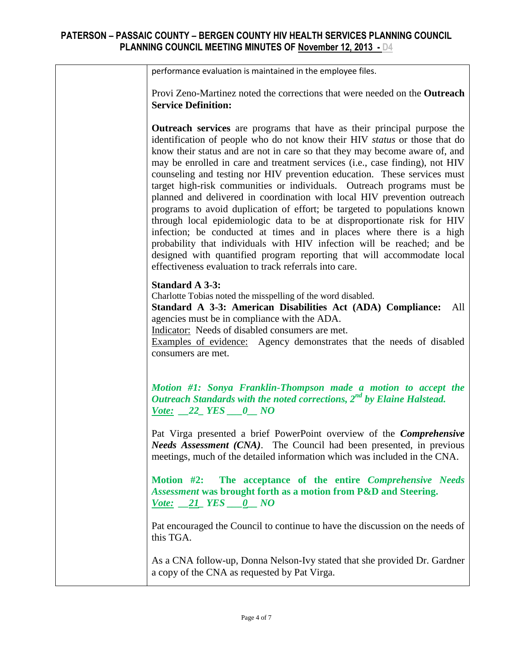| performance evaluation is maintained in the employee files.                                                                                                                                                                                                                                                                                                                                                                                                                                                                                                                                                                                                                                                                                                                                                                                                                                                                                                                                           |
|-------------------------------------------------------------------------------------------------------------------------------------------------------------------------------------------------------------------------------------------------------------------------------------------------------------------------------------------------------------------------------------------------------------------------------------------------------------------------------------------------------------------------------------------------------------------------------------------------------------------------------------------------------------------------------------------------------------------------------------------------------------------------------------------------------------------------------------------------------------------------------------------------------------------------------------------------------------------------------------------------------|
| Provi Zeno-Martinez noted the corrections that were needed on the <b>Outreach</b><br><b>Service Definition:</b>                                                                                                                                                                                                                                                                                                                                                                                                                                                                                                                                                                                                                                                                                                                                                                                                                                                                                       |
| Outreach services are programs that have as their principal purpose the<br>identification of people who do not know their HIV status or those that do<br>know their status and are not in care so that they may become aware of, and<br>may be enrolled in care and treatment services (i.e., case finding), not HIV<br>counseling and testing nor HIV prevention education. These services must<br>target high-risk communities or individuals. Outreach programs must be<br>planned and delivered in coordination with local HIV prevention outreach<br>programs to avoid duplication of effort; be targeted to populations known<br>through local epidemiologic data to be at disproportionate risk for HIV<br>infection; be conducted at times and in places where there is a high<br>probability that individuals with HIV infection will be reached; and be<br>designed with quantified program reporting that will accommodate local<br>effectiveness evaluation to track referrals into care. |
| <b>Standard A 3-3:</b><br>Charlotte Tobias noted the misspelling of the word disabled.<br>Standard A 3-3: American Disabilities Act (ADA) Compliance:<br>All<br>agencies must be in compliance with the ADA.<br>Indicator: Needs of disabled consumers are met.<br>Examples of evidence: Agency demonstrates that the needs of disabled<br>consumers are met.                                                                                                                                                                                                                                                                                                                                                                                                                                                                                                                                                                                                                                         |
| Motion #1: Sonya Franklin-Thompson made a motion to accept the<br>Outreach Standards with the noted corrections, $2^{nd}$ by Elaine Halstead.<br>$\underline{\text{Vote:}} \quad 22 \quad \underline{\text{YES}} \quad 0 \quad \underline{\text{NO}}$                                                                                                                                                                                                                                                                                                                                                                                                                                                                                                                                                                                                                                                                                                                                                 |
| Pat Virga presented a brief PowerPoint overview of the <i>Comprehensive</i><br>Needs Assessment (CNA). The Council had been presented, in previous<br>meetings, much of the detailed information which was included in the CNA.                                                                                                                                                                                                                                                                                                                                                                                                                                                                                                                                                                                                                                                                                                                                                                       |
| Motion #2: The acceptance of the entire Comprehensive Needs<br>Assessment was brought forth as a motion from P&D and Steering.<br>$\underline{\text{Vote:}} \quad 21 \quad \underline{\text{YES}} \quad 0 \quad \underline{\text{NO}}$                                                                                                                                                                                                                                                                                                                                                                                                                                                                                                                                                                                                                                                                                                                                                                |
| Pat encouraged the Council to continue to have the discussion on the needs of<br>this TGA.                                                                                                                                                                                                                                                                                                                                                                                                                                                                                                                                                                                                                                                                                                                                                                                                                                                                                                            |
| As a CNA follow-up, Donna Nelson-Ivy stated that she provided Dr. Gardner<br>a copy of the CNA as requested by Pat Virga.                                                                                                                                                                                                                                                                                                                                                                                                                                                                                                                                                                                                                                                                                                                                                                                                                                                                             |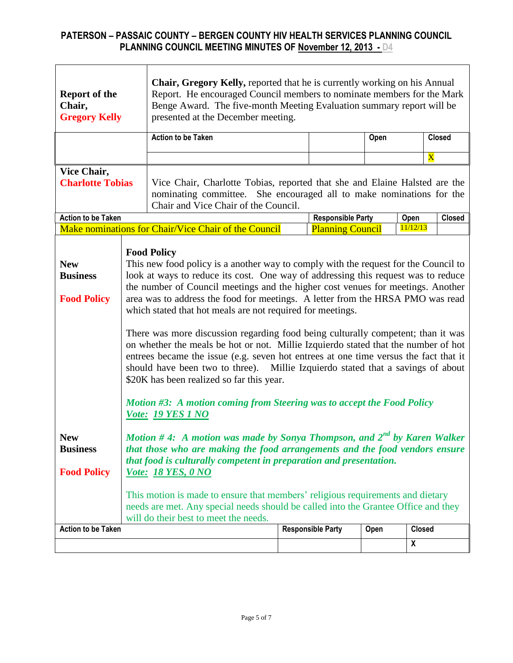| <b>Report of the</b><br>Chair,<br><b>Gregory Kelly</b>                                                                                                                                                                                                                                                                                                                                                                                                                                                                                                                                                                                                                                                                                                                                                                                                                                                                                                                                    |  | Chair, Gregory Kelly, reported that he is currently working on his Annual<br>Report. He encouraged Council members to nominate members for the Mark<br>Benge Award. The five-month Meeting Evaluation summary report will be<br>presented at the December meeting. |                          |      |                         |               |
|-------------------------------------------------------------------------------------------------------------------------------------------------------------------------------------------------------------------------------------------------------------------------------------------------------------------------------------------------------------------------------------------------------------------------------------------------------------------------------------------------------------------------------------------------------------------------------------------------------------------------------------------------------------------------------------------------------------------------------------------------------------------------------------------------------------------------------------------------------------------------------------------------------------------------------------------------------------------------------------------|--|--------------------------------------------------------------------------------------------------------------------------------------------------------------------------------------------------------------------------------------------------------------------|--------------------------|------|-------------------------|---------------|
|                                                                                                                                                                                                                                                                                                                                                                                                                                                                                                                                                                                                                                                                                                                                                                                                                                                                                                                                                                                           |  | <b>Action to be Taken</b>                                                                                                                                                                                                                                          |                          | Open |                         | <b>Closed</b> |
|                                                                                                                                                                                                                                                                                                                                                                                                                                                                                                                                                                                                                                                                                                                                                                                                                                                                                                                                                                                           |  |                                                                                                                                                                                                                                                                    |                          |      | $\overline{\mathbf{X}}$ |               |
| Vice Chair,<br><b>Charlotte Tobias</b>                                                                                                                                                                                                                                                                                                                                                                                                                                                                                                                                                                                                                                                                                                                                                                                                                                                                                                                                                    |  | Vice Chair, Charlotte Tobias, reported that she and Elaine Halsted are the<br>nominating committee. She encouraged all to make nominations for the<br>Chair and Vice Chair of the Council.                                                                         |                          |      |                         |               |
| <b>Action to be Taken</b>                                                                                                                                                                                                                                                                                                                                                                                                                                                                                                                                                                                                                                                                                                                                                                                                                                                                                                                                                                 |  |                                                                                                                                                                                                                                                                    | <b>Responsible Party</b> |      | Open                    | <b>Closed</b> |
|                                                                                                                                                                                                                                                                                                                                                                                                                                                                                                                                                                                                                                                                                                                                                                                                                                                                                                                                                                                           |  | Make nominations for Chair/Vice Chair of the Council                                                                                                                                                                                                               | <b>Planning Council</b>  |      | 11/12/13                |               |
| <b>Food Policy</b><br>This new food policy is a another way to comply with the request for the Council to<br><b>New</b><br>look at ways to reduce its cost. One way of addressing this request was to reduce<br><b>Business</b><br>the number of Council meetings and the higher cost venues for meetings. Another<br><b>Food Policy</b><br>area was to address the food for meetings. A letter from the HRSA PMO was read<br>which stated that hot meals are not required for meetings.<br>There was more discussion regarding food being culturally competent; than it was<br>on whether the meals be hot or not. Millie Izquierdo stated that the number of hot<br>entrees became the issue (e.g. seven hot entrees at one time versus the fact that it<br>should have been two to three). Millie Izquierdo stated that a savings of about<br>\$20K has been realized so far this year.<br>Motion #3: A motion coming from Steering was to accept the Food Policy<br>Vote: 19 YES 1 NO |  |                                                                                                                                                                                                                                                                    |                          |      |                         |               |
| Motion #4: A motion was made by Sonya Thompson, and $2^{nd}$ by Karen Walker<br><b>New</b><br>that those who are making the food arrangements and the food vendors ensure<br><b>Business</b><br>that food is culturally competent in preparation and presentation.<br><b>Food Policy</b><br><i>Vote: 18 YES, 0 NO</i><br>This motion is made to ensure that members' religious requirements and dietary<br>needs are met. Any special needs should be called into the Grantee Office and they                                                                                                                                                                                                                                                                                                                                                                                                                                                                                             |  |                                                                                                                                                                                                                                                                    |                          |      |                         |               |
| <b>Action to be Taken</b>                                                                                                                                                                                                                                                                                                                                                                                                                                                                                                                                                                                                                                                                                                                                                                                                                                                                                                                                                                 |  | will do their best to meet the needs.                                                                                                                                                                                                                              | <b>Responsible Party</b> | Open | <b>Closed</b>           |               |
|                                                                                                                                                                                                                                                                                                                                                                                                                                                                                                                                                                                                                                                                                                                                                                                                                                                                                                                                                                                           |  |                                                                                                                                                                                                                                                                    |                          |      |                         |               |
|                                                                                                                                                                                                                                                                                                                                                                                                                                                                                                                                                                                                                                                                                                                                                                                                                                                                                                                                                                                           |  |                                                                                                                                                                                                                                                                    |                          |      | X                       |               |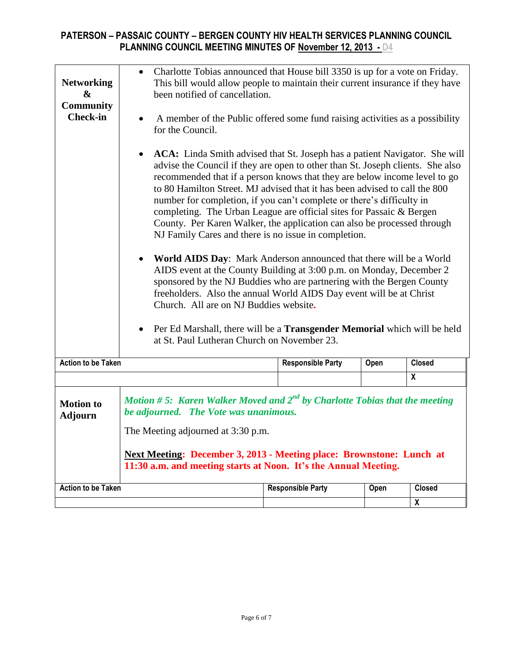| <b>Networking</b><br>&<br><b>Community</b><br><b>Check-in</b>                                                                                                                                                                                                                                                                                   | Charlotte Tobias announced that House bill 3350 is up for a vote on Friday.<br>$\bullet$<br>This bill would allow people to maintain their current insurance if they have<br>been notified of cancellation.<br>A member of the Public offered some fund raising activities as a possibility<br>$\bullet$<br>for the Council.<br>ACA: Linda Smith advised that St. Joseph has a patient Navigator. She will<br>$\bullet$<br>advise the Council if they are open to other than St. Joseph clients. She also<br>recommended that if a person knows that they are below income level to go<br>to 80 Hamilton Street. MJ advised that it has been advised to call the 800<br>number for completion, if you can't complete or there's difficulty in<br>completing. The Urban League are official sites for Passaic & Bergen<br>County. Per Karen Walker, the application can also be processed through<br>NJ Family Cares and there is no issue in completion.<br>World AIDS Day: Mark Anderson announced that there will be a World<br>AIDS event at the County Building at 3:00 p.m. on Monday, December 2<br>sponsored by the NJ Buddies who are partnering with the Bergen County<br>freeholders. Also the annual World AIDS Day event will be at Christ<br>Church. All are on NJ Buddies website.<br>Per Ed Marshall, there will be a <b>Transgender Memorial</b> which will be held<br>$\bullet$ |                          |      |                           |  |
|-------------------------------------------------------------------------------------------------------------------------------------------------------------------------------------------------------------------------------------------------------------------------------------------------------------------------------------------------|--------------------------------------------------------------------------------------------------------------------------------------------------------------------------------------------------------------------------------------------------------------------------------------------------------------------------------------------------------------------------------------------------------------------------------------------------------------------------------------------------------------------------------------------------------------------------------------------------------------------------------------------------------------------------------------------------------------------------------------------------------------------------------------------------------------------------------------------------------------------------------------------------------------------------------------------------------------------------------------------------------------------------------------------------------------------------------------------------------------------------------------------------------------------------------------------------------------------------------------------------------------------------------------------------------------------------------------------------------------------------------------------------|--------------------------|------|---------------------------|--|
| <b>Action to be Taken</b>                                                                                                                                                                                                                                                                                                                       |                                                                                                                                                                                                                                                                                                                                                                                                                                                                                                                                                                                                                                                                                                                                                                                                                                                                                                                                                                                                                                                                                                                                                                                                                                                                                                                                                                                                  | <b>Responsible Party</b> | Open | <b>Closed</b>             |  |
|                                                                                                                                                                                                                                                                                                                                                 |                                                                                                                                                                                                                                                                                                                                                                                                                                                                                                                                                                                                                                                                                                                                                                                                                                                                                                                                                                                                                                                                                                                                                                                                                                                                                                                                                                                                  |                          |      | $\boldsymbol{x}$          |  |
| Motion #5: Karen Walker Moved and $2^{nd}$ by Charlotte Tobias that the meeting<br><b>Motion</b> to<br>be adjourned. The Vote was unanimous.<br><b>Adjourn</b><br>The Meeting adjourned at 3:30 p.m.<br>Next Meeting: December 3, 2013 - Meeting place: Brownstone: Lunch at<br>11:30 a.m. and meeting starts at Noon. It's the Annual Meeting. |                                                                                                                                                                                                                                                                                                                                                                                                                                                                                                                                                                                                                                                                                                                                                                                                                                                                                                                                                                                                                                                                                                                                                                                                                                                                                                                                                                                                  |                          |      |                           |  |
| <b>Action to be Taken</b>                                                                                                                                                                                                                                                                                                                       |                                                                                                                                                                                                                                                                                                                                                                                                                                                                                                                                                                                                                                                                                                                                                                                                                                                                                                                                                                                                                                                                                                                                                                                                                                                                                                                                                                                                  | <b>Responsible Party</b> | Open | Closed                    |  |
|                                                                                                                                                                                                                                                                                                                                                 |                                                                                                                                                                                                                                                                                                                                                                                                                                                                                                                                                                                                                                                                                                                                                                                                                                                                                                                                                                                                                                                                                                                                                                                                                                                                                                                                                                                                  |                          |      | $\boldsymbol{\mathsf{X}}$ |  |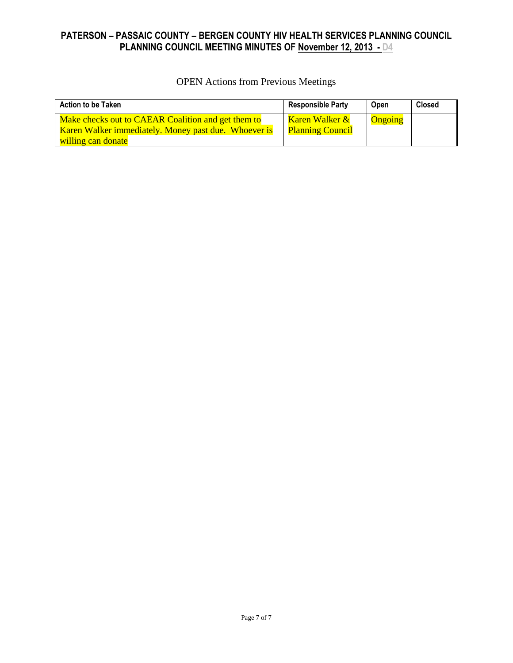OPEN Actions from Previous Meetings

| <b>Action to be Taken</b>                            | <b>Responsible Party</b> | Open           | <b>Closed</b> |
|------------------------------------------------------|--------------------------|----------------|---------------|
| Make checks out to CAEAR Coalition and get them to   | Karen Walker &           | <b>Ongoing</b> |               |
| Karen Walker immediately. Money past due. Whoever is | <b>Planning Council</b>  |                |               |
| willing can donate                                   |                          |                |               |